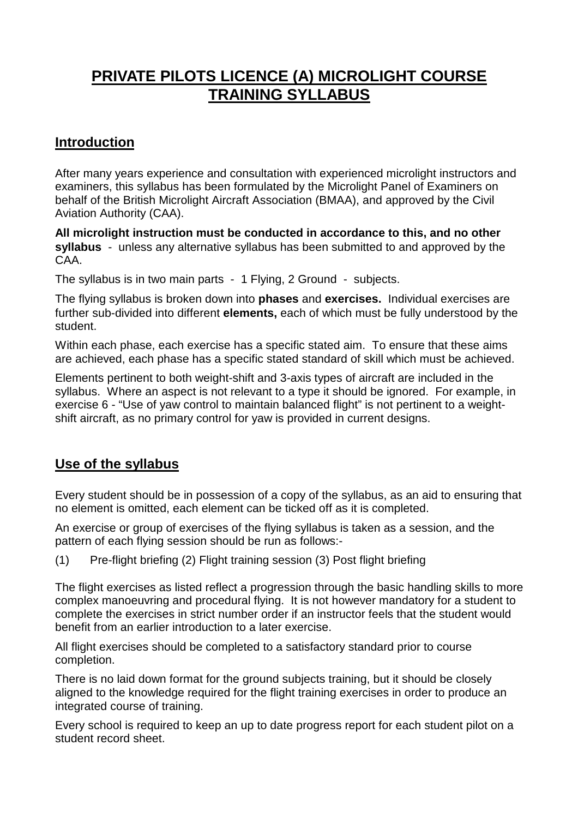# **PRIVATE PILOTS LICENCE (A) MICROLIGHT COURSE TRAINING SYLLABUS**

# **Introduction**

After many years experience and consultation with experienced microlight instructors and examiners, this syllabus has been formulated by the Microlight Panel of Examiners on behalf of the British Microlight Aircraft Association (BMAA), and approved by the Civil Aviation Authority (CAA).

**All microlight instruction must be conducted in accordance to this, and no other syllabus** - unless any alternative syllabus has been submitted to and approved by the CAA.

The syllabus is in two main parts - 1 Flying, 2 Ground - subjects.

The flying syllabus is broken down into **phases** and **exercises.** Individual exercises are further sub-divided into different **elements,** each of which must be fully understood by the student.

Within each phase, each exercise has a specific stated aim. To ensure that these aims are achieved, each phase has a specific stated standard of skill which must be achieved.

Elements pertinent to both weight-shift and 3-axis types of aircraft are included in the syllabus. Where an aspect is not relevant to a type it should be ignored. For example, in exercise 6 - "Use of yaw control to maintain balanced flight" is not pertinent to a weightshift aircraft, as no primary control for yaw is provided in current designs.

# **Use of the syllabus**

Every student should be in possession of a copy of the syllabus, as an aid to ensuring that no element is omitted, each element can be ticked off as it is completed.

An exercise or group of exercises of the flying syllabus is taken as a session, and the pattern of each flying session should be run as follows:-

(1) Pre-flight briefing (2) Flight training session (3) Post flight briefing

The flight exercises as listed reflect a progression through the basic handling skills to more complex manoeuvring and procedural flying. It is not however mandatory for a student to complete the exercises in strict number order if an instructor feels that the student would benefit from an earlier introduction to a later exercise.

All flight exercises should be completed to a satisfactory standard prior to course completion.

There is no laid down format for the ground subjects training, but it should be closely aligned to the knowledge required for the flight training exercises in order to produce an integrated course of training.

Every school is required to keep an up to date progress report for each student pilot on a student record sheet.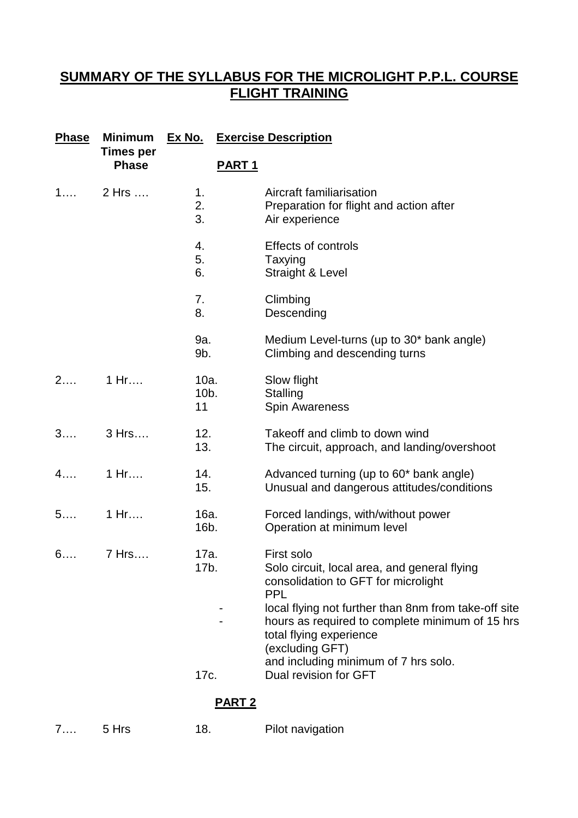# **SUMMARY OF THE SYLLABUS FOR THE MICROLIGHT P.P.L. COURSE FLIGHT TRAINING**

| <b>Phase</b> | <b>Minimum</b><br><b>Times per</b><br><b>Phase</b> | <u>Ex No.</u>         | <b>Exercise Description</b>                                                                                                                           |  |
|--------------|----------------------------------------------------|-----------------------|-------------------------------------------------------------------------------------------------------------------------------------------------------|--|
|              |                                                    |                       | PART <sub>1</sub>                                                                                                                                     |  |
| 1            | 2 Hrs                                              | 1.<br>2.<br>3.        | Aircraft familiarisation<br>Preparation for flight and action after<br>Air experience                                                                 |  |
|              |                                                    | 4.<br>5.<br>6.        | <b>Effects of controls</b><br>Taxying<br>Straight & Level                                                                                             |  |
|              |                                                    | 7.<br>8.              | Climbing<br>Descending                                                                                                                                |  |
|              |                                                    | 9a.<br>9b.            | Medium Level-turns (up to 30* bank angle)<br>Climbing and descending turns                                                                            |  |
| 2            | 1 Hr                                               | 10a.<br>$10b$ .<br>11 | Slow flight<br>Stalling<br><b>Spin Awareness</b>                                                                                                      |  |
| 3            | 3 Hrs                                              | 12.<br>13.            | Takeoff and climb to down wind<br>The circuit, approach, and landing/overshoot                                                                        |  |
| 4            | 1 Hr                                               | 14.<br>15.            | Advanced turning (up to 60* bank angle)<br>Unusual and dangerous attitudes/conditions                                                                 |  |
| 5            | 1 Hr                                               | 16a.<br>16b.          | Forced landings, with/without power<br>Operation at minimum level                                                                                     |  |
| 6            | 7 Hrs                                              | 17a.<br>17b.          | First solo<br>Solo circuit, local area, and general flying<br>consolidation to GFT for microlight<br><b>PPL</b>                                       |  |
|              |                                                    |                       | local flying not further than 8nm from take-off site<br>hours as required to complete minimum of 15 hrs<br>total flying experience<br>(excluding GFT) |  |
|              |                                                    | 17c.                  | and including minimum of 7 hrs solo.<br>Dual revision for GFT                                                                                         |  |
|              |                                                    |                       | <b>PART 2</b>                                                                                                                                         |  |

#### **PART 2**

| . | 5 Hrs | 18. | Pilot navigation |
|---|-------|-----|------------------|
|   |       |     |                  |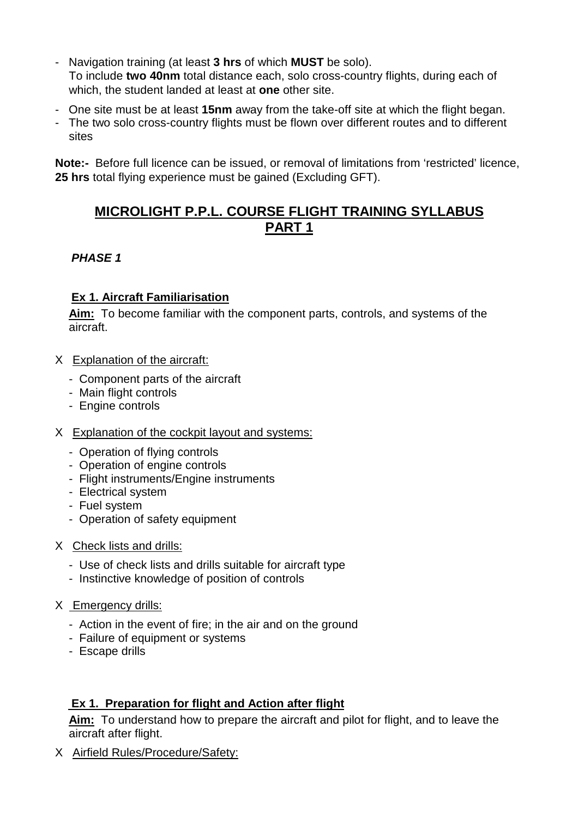- Navigation training (at least **3 hrs** of which **MUST** be solo). To include **two 40nm** total distance each, solo cross-country flights, during each of which, the student landed at least at **one** other site.
- One site must be at least **15nm** away from the take-off site at which the flight began.
- The two solo cross-country flights must be flown over different routes and to different sites

**Note:-** Before full licence can be issued, or removal of limitations from 'restricted' licence, **25 hrs** total flying experience must be gained (Excluding GFT).

# **MICROLIGHT P.P.L. COURSE FLIGHT TRAINING SYLLABUS PART 1**

#### *PHASE 1*

### **Ex 1. Aircraft Familiarisation**

**Aim:** To become familiar with the component parts, controls, and systems of the aircraft.

- X Explanation of the aircraft:
	- Component parts of the aircraft
	- Main flight controls
	- Engine controls
- X Explanation of the cockpit layout and systems:
	- Operation of flying controls
	- Operation of engine controls
	- Flight instruments/Engine instruments
	- Electrical system
	- Fuel system
	- Operation of safety equipment
- X Check lists and drills:
	- Use of check lists and drills suitable for aircraft type
	- Instinctive knowledge of position of controls
- X Emergency drills:
	- Action in the event of fire; in the air and on the ground
	- Failure of equipment or systems
	- Escape drills

### **Ex 1. Preparation for flight and Action after flight**

**Aim:** To understand how to prepare the aircraft and pilot for flight, and to leave the aircraft after flight.

X Airfield Rules/Procedure/Safety: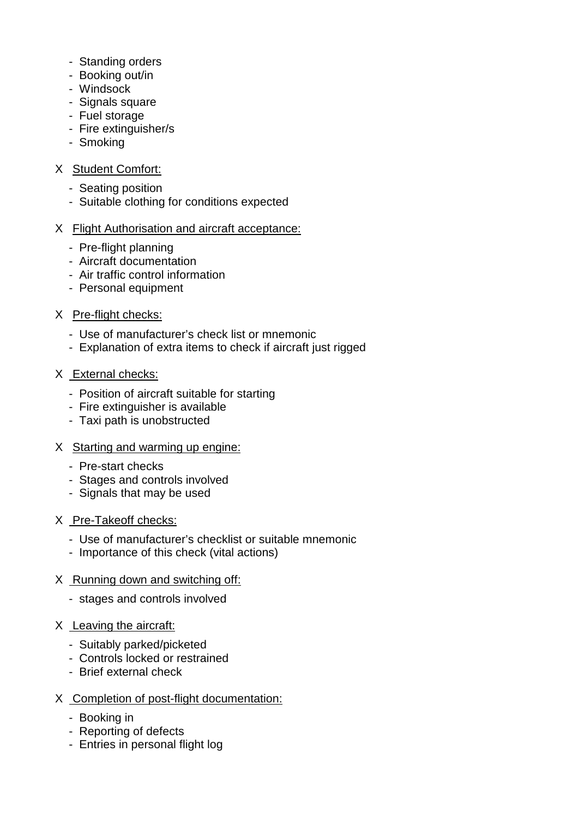- Standing orders
- Booking out/in
- Windsock
- Signals square
- Fuel storage
- Fire extinguisher/s
- Smoking

# X Student Comfort:

- Seating position
- Suitable clothing for conditions expected

# X Flight Authorisation and aircraft acceptance:

- Pre-flight planning
- Aircraft documentation
- Air traffic control information
- Personal equipment

# X Pre-flight checks:

- Use of manufacturer's check list or mnemonic
- Explanation of extra items to check if aircraft just rigged

# X External checks:

- Position of aircraft suitable for starting
- Fire extinguisher is available
- Taxi path is unobstructed

### X Starting and warming up engine:

- Pre-start checks
- Stages and controls involved
- Signals that may be used

### X Pre-Takeoff checks:

- Use of manufacturer's checklist or suitable mnemonic
- Importance of this check (vital actions)

# X Running down and switching off:

- stages and controls involved

# X Leaving the aircraft:

- Suitably parked/picketed
- Controls locked or restrained
- Brief external check

### X Completion of post-flight documentation:

- Booking in
- Reporting of defects
- Entries in personal flight log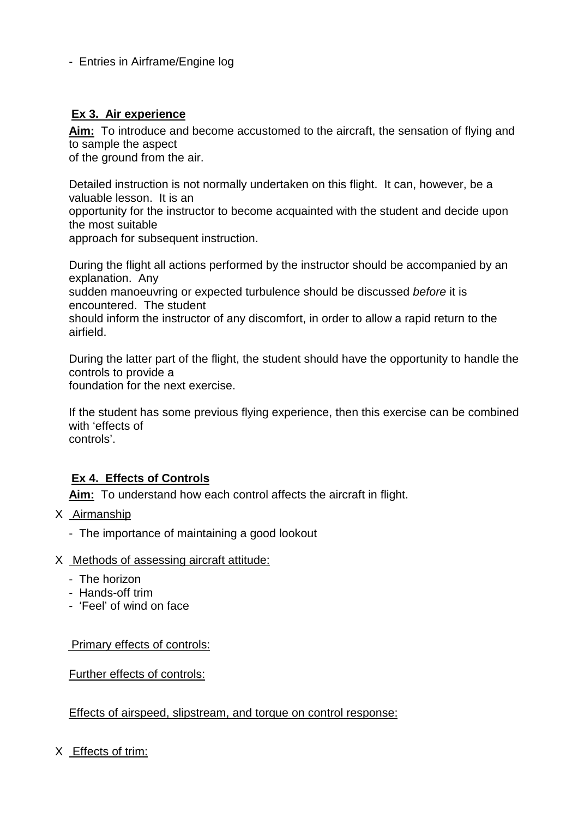### - Entries in Airframe/Engine log

# **Ex 3. Air experience**

**Aim:** To introduce and become accustomed to the aircraft, the sensation of flying and to sample the aspect

of the ground from the air.

Detailed instruction is not normally undertaken on this flight. It can, however, be a valuable lesson. It is an opportunity for the instructor to become acquainted with the student and decide upon

the most suitable

approach for subsequent instruction.

During the flight all actions performed by the instructor should be accompanied by an explanation. Any

sudden manoeuvring or expected turbulence should be discussed *before* it is encountered. The student

should inform the instructor of any discomfort, in order to allow a rapid return to the airfield.

During the latter part of the flight, the student should have the opportunity to handle the controls to provide a

foundation for the next exercise.

If the student has some previous flying experience, then this exercise can be combined with 'effects of controls'.

### **Ex 4. Effects of Controls**

**Aim:** To understand how each control affects the aircraft in flight.

- X Airmanship
	- The importance of maintaining a good lookout
- X Methods of assessing aircraft attitude:
	- The horizon
	- Hands-off trim
	- 'Feel' of wind on face

Primary effects of controls:

Further effects of controls:

Effects of airspeed, slipstream, and torque on control response:

X Effects of trim: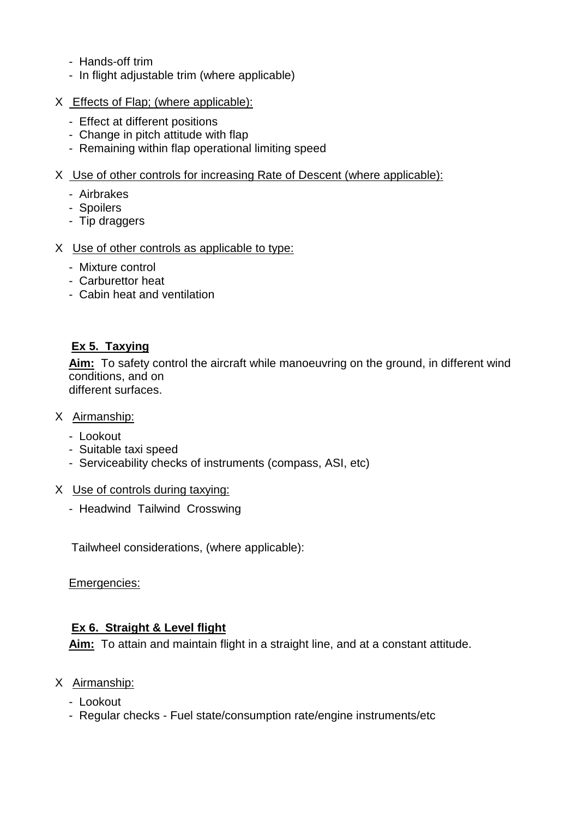- Hands-off trim
- In flight adjustable trim (where applicable)
- X Effects of Flap; (where applicable):
	- Effect at different positions
	- Change in pitch attitude with flap
	- Remaining within flap operational limiting speed
- X Use of other controls for increasing Rate of Descent (where applicable):
	- Airbrakes
	- Spoilers
	- Tip draggers
- X Use of other controls as applicable to type:
	- Mixture control
	- Carburettor heat
	- Cabin heat and ventilation

# **Ex 5. Taxying**

**Aim:** To safety control the aircraft while manoeuvring on the ground, in different wind conditions, and on different surfaces.

#### X Airmanship:

- Lookout
- Suitable taxi speed
- Serviceability checks of instruments (compass, ASI, etc)
- X Use of controls during taxying:
	- Headwind Tailwind Crosswing

Tailwheel considerations, (where applicable):

Emergencies:

### **Ex 6. Straight & Level flight**

**Aim:** To attain and maintain flight in a straight line, and at a constant attitude.

- X Airmanship:
	- Lookout
	- Regular checks Fuel state/consumption rate/engine instruments/etc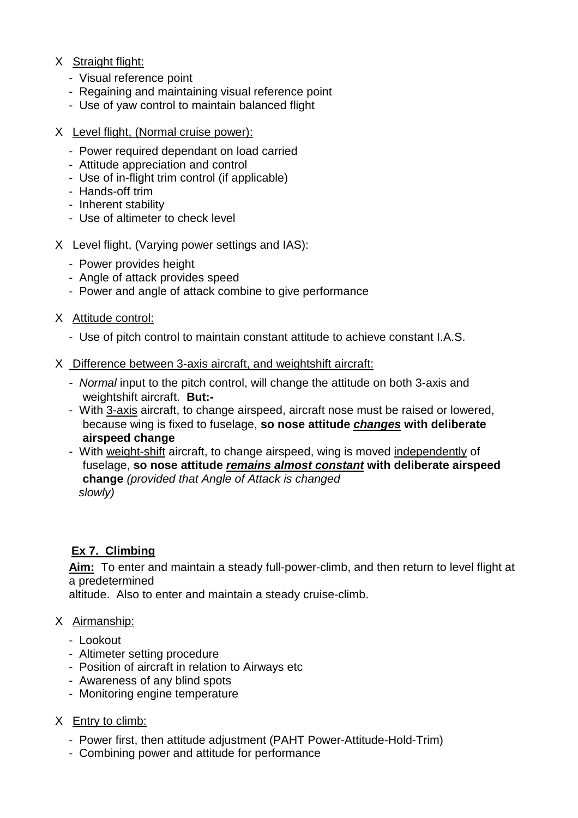#### X Straight flight:

- Visual reference point
- Regaining and maintaining visual reference point
- Use of yaw control to maintain balanced flight
- X Level flight, (Normal cruise power):
	- Power required dependant on load carried
	- Attitude appreciation and control
	- Use of in-flight trim control (if applicable)
	- Hands-off trim
	- Inherent stability
	- Use of altimeter to check level
- X Level flight, (Varying power settings and IAS):
	- Power provides height
	- Angle of attack provides speed
	- Power and angle of attack combine to give performance
- X Attitude control:
	- Use of pitch control to maintain constant attitude to achieve constant I.A.S.

#### X Difference between 3-axis aircraft, and weightshift aircraft:

- *Normal* input to the pitch control, will change the attitude on both 3-axis and weightshift aircraft. **But:-**
- With 3-axis aircraft, to change airspeed, aircraft nose must be raised or lowered, because wing is fixed to fuselage, **so nose attitude** *changes* **with deliberate airspeed change**
- With weight-shift aircraft, to change airspeed, wing is moved independently of fuselage, **so nose attitude** *remains almost constant* **with deliberate airspeed change** *(provided that Angle of Attack is changed slowly)*

# **Ex 7. Climbing**

**Aim:** To enter and maintain a steady full-power-climb, and then return to level flight at a predetermined

altitude. Also to enter and maintain a steady cruise-climb.

#### X Airmanship:

- Lookout
- Altimeter setting procedure
- Position of aircraft in relation to Airways etc
- Awareness of any blind spots
- Monitoring engine temperature

#### X Entry to climb:

- Power first, then attitude adjustment (PAHT Power-Attitude-Hold-Trim)
- Combining power and attitude for performance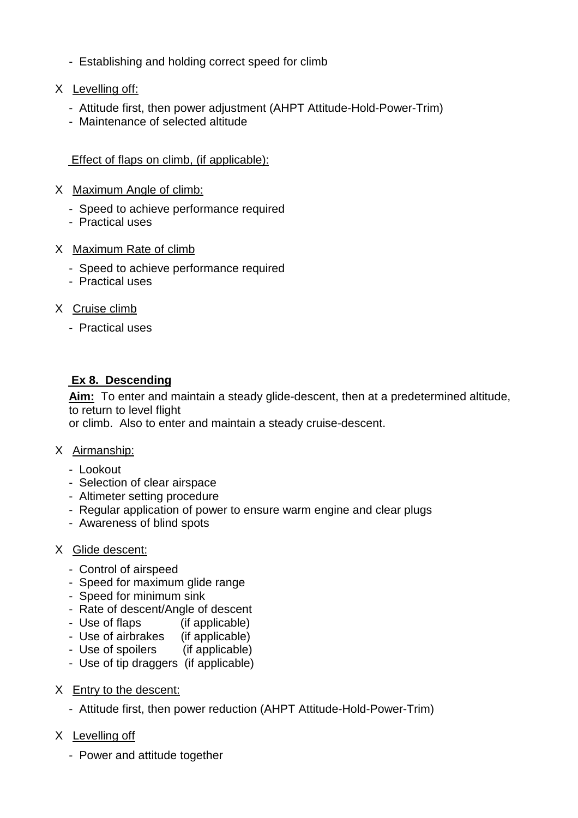- Establishing and holding correct speed for climb
- X Levelling off:
	- Attitude first, then power adjustment (AHPT Attitude-Hold-Power-Trim)
	- Maintenance of selected altitude

## Effect of flaps on climb, (if applicable):

- X Maximum Angle of climb:
	- Speed to achieve performance required
	- Practical uses
- X Maximum Rate of climb
	- Speed to achieve performance required
	- Practical uses
- X Cruise climb
	- Practical uses

# **Ex 8. Descending**

**Aim:** To enter and maintain a steady glide-descent, then at a predetermined altitude, to return to level flight

or climb. Also to enter and maintain a steady cruise-descent.

### X Airmanship:

- Lookout
- Selection of clear airspace
- Altimeter setting procedure
- Regular application of power to ensure warm engine and clear plugs
- Awareness of blind spots

### X Glide descent:

- Control of airspeed
- Speed for maximum glide range
- Speed for minimum sink
- Rate of descent/Angle of descent
- Use of flaps (if applicable)
- Use of airbrakes (if applicable)
- Use of spoilers (if applicable)
- Use of tip draggers (if applicable)
- X Entry to the descent:
	- Attitude first, then power reduction (AHPT Attitude-Hold-Power-Trim)
- X Levelling off
	- Power and attitude together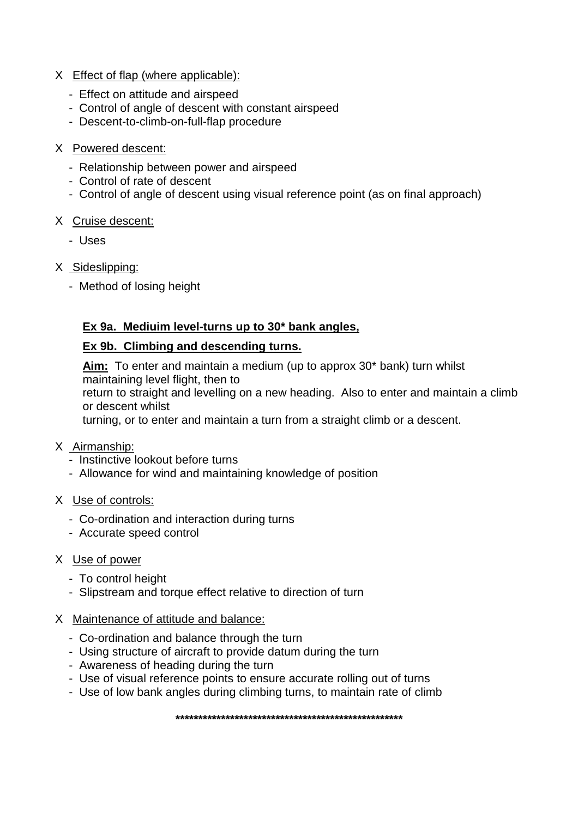#### X Effect of flap (where applicable):

- Effect on attitude and airspeed
- Control of angle of descent with constant airspeed
- Descent-to-climb-on-full-flap procedure

#### X Powered descent:

- Relationship between power and airspeed
- Control of rate of descent
- Control of angle of descent using visual reference point (as on final approach)

#### X Cruise descent:

- Uses
- X Sideslipping:
	- Method of losing height

# **Ex 9a. Mediuim level-turns up to 30\* bank angles,**

### **Ex 9b. Climbing and descending turns.**

**Aim:** To enter and maintain a medium (up to approx 30\* bank) turn whilst maintaining level flight, then to

return to straight and levelling on a new heading. Also to enter and maintain a climb or descent whilst

turning, or to enter and maintain a turn from a straight climb or a descent.

- X Airmanship:
	- Instinctive lookout before turns
	- Allowance for wind and maintaining knowledge of position
- X Use of controls:
	- Co-ordination and interaction during turns
	- Accurate speed control

### X Use of power

- To control height
- Slipstream and torque effect relative to direction of turn

### X Maintenance of attitude and balance:

- Co-ordination and balance through the turn
- Using structure of aircraft to provide datum during the turn
- Awareness of heading during the turn
- Use of visual reference points to ensure accurate rolling out of turns
- Use of low bank angles during climbing turns, to maintain rate of climb

**\*\*\*\*\*\*\*\*\*\*\*\*\*\*\*\*\*\*\*\*\*\*\*\*\*\*\*\*\*\*\*\*\*\*\*\*\*\*\*\*\*\*\*\*\*\*\*\*\*\***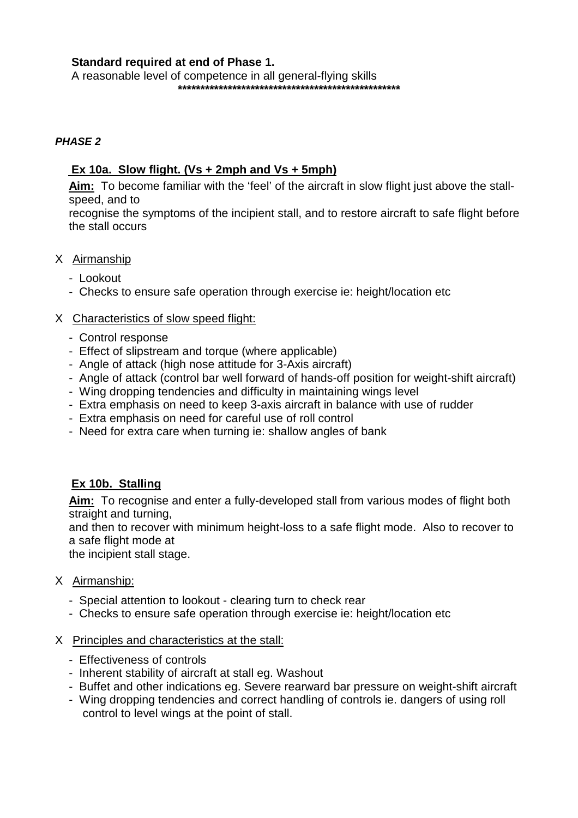#### **Standard required at end of Phase 1.**

 A reasonable level of competence in all general-flying skills **\*\*\*\*\*\*\*\*\*\*\*\*\*\*\*\*\*\*\*\*\*\*\*\*\*\*\*\*\*\*\*\*\*\*\*\*\*\*\*\*\*\*\*\*\*\*\*\*\***

#### *PHASE 2*

#### Ex 10a. Slow flight. ( $Vs + 2mph$  and  $Vs + 5mph$ )

**Aim:** To become familiar with the 'feel' of the aircraft in slow flight just above the stallspeed, and to

recognise the symptoms of the incipient stall, and to restore aircraft to safe flight before the stall occurs

#### X Airmanship

- Lookout
- Checks to ensure safe operation through exercise ie: height/location etc

#### X Characteristics of slow speed flight:

- Control response
- Effect of slipstream and torque (where applicable)
- Angle of attack (high nose attitude for 3-Axis aircraft)
- Angle of attack (control bar well forward of hands-off position for weight-shift aircraft)
- Wing dropping tendencies and difficulty in maintaining wings level
- Extra emphasis on need to keep 3-axis aircraft in balance with use of rudder
- Extra emphasis on need for careful use of roll control
- Need for extra care when turning ie: shallow angles of bank

### **Ex 10b. Stalling**

**Aim:** To recognise and enter a fully-developed stall from various modes of flight both straight and turning,

and then to recover with minimum height-loss to a safe flight mode. Also to recover to a safe flight mode at

the incipient stall stage.

#### X Airmanship:

- Special attention to lookout clearing turn to check rear
- Checks to ensure safe operation through exercise ie: height/location etc

#### X Principles and characteristics at the stall:

- Effectiveness of controls
- Inherent stability of aircraft at stall eg. Washout
- Buffet and other indications eg. Severe rearward bar pressure on weight-shift aircraft
- Wing dropping tendencies and correct handling of controls ie. dangers of using roll control to level wings at the point of stall.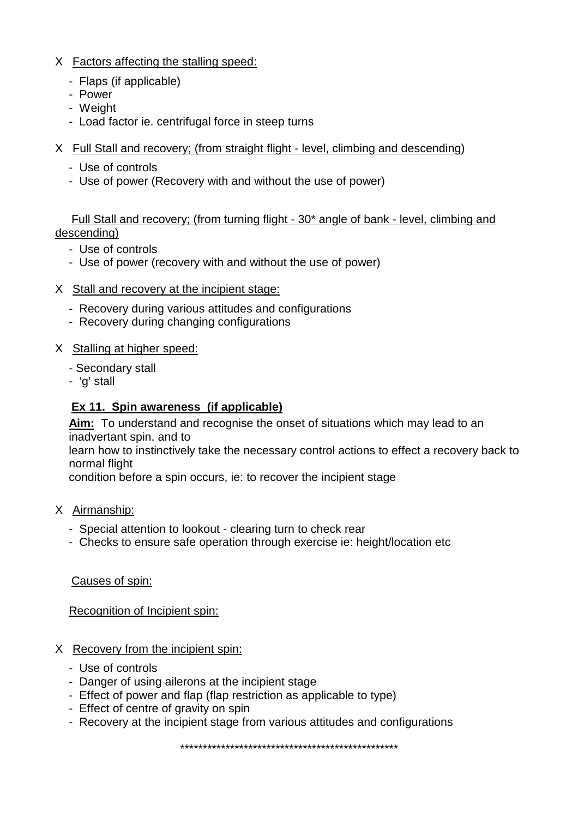- X Factors affecting the stalling speed:
	- Flaps (if applicable)
	- Power
	- Weight
	- Load factor ie. centrifugal force in steep turns
- X Full Stall and recovery; (from straight flight level, climbing and descending)
	- Use of controls
	- Use of power (Recovery with and without the use of power)

 Full Stall and recovery; (from turning flight - 30\* angle of bank - level, climbing and descending)

- Use of controls
- Use of power (recovery with and without the use of power)
- X Stall and recovery at the incipient stage:
	- Recovery during various attitudes and configurations
	- Recovery during changing configurations

### X Stalling at higher speed:

- Secondary stall
- 'g' stall

# **<u>Ex 11. Spin awareness (if applicable)</u>**

**Aim:** To understand and recognise the onset of situations which may lead to an inadvertant spin, and to

learn how to instinctively take the necessary control actions to effect a recovery back to normal flight

condition before a spin occurs, ie: to recover the incipient stage

- X Airmanship:
	- Special attention to lookout clearing turn to check rear
	- Checks to ensure safe operation through exercise ie: height/location etc

Causes of spin:

Recognition of Incipient spin:

- X Recovery from the incipient spin:
	- Use of controls
	- Danger of using ailerons at the incipient stage
	- Effect of power and flap (flap restriction as applicable to type)
	- Effect of centre of gravity on spin
	- Recovery at the incipient stage from various attitudes and configurations

\*\*\*\*\*\*\*\*\*\*\*\*\*\*\*\*\*\*\*\*\*\*\*\*\*\*\*\*\*\*\*\*\*\*\*\*\*\*\*\*\*\*\*\*\*\*\*\*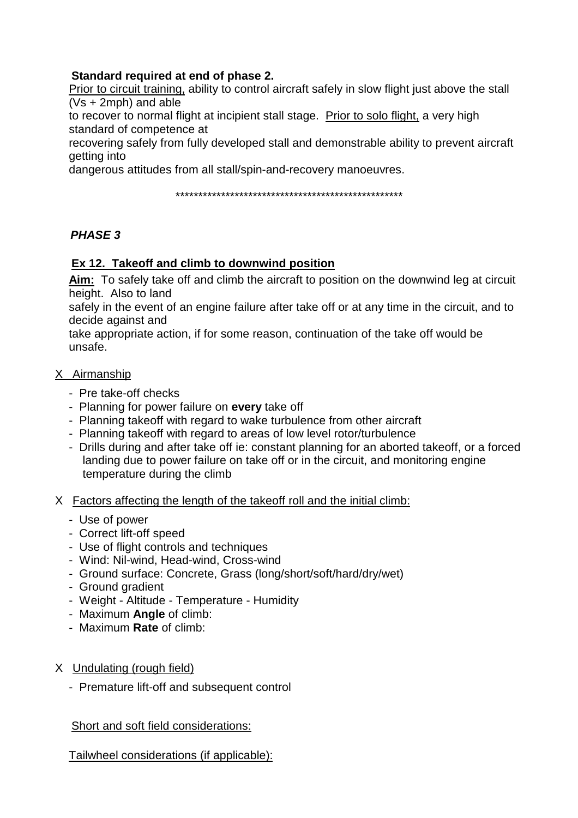# **Standard required at end of phase 2.**

Prior to circuit training, ability to control aircraft safely in slow flight just above the stall (Vs + 2mph) and able

to recover to normal flight at incipient stall stage. Prior to solo flight, a very high standard of competence at

recovering safely from fully developed stall and demonstrable ability to prevent aircraft getting into

dangerous attitudes from all stall/spin-and-recovery manoeuvres.

\*\*\*\*\*\*\*\*\*\*\*\*\*\*\*\*\*\*\*\*\*\*\*\*\*\*\*\*\*\*\*\*\*\*\*\*\*\*\*\*\*\*\*\*\*\*\*\*\*\*

### *PHASE 3*

#### **Ex 12. Takeoff and climb to downwind position**

**Aim:** To safely take off and climb the aircraft to position on the downwind leg at circuit height. Also to land

safely in the event of an engine failure after take off or at any time in the circuit, and to decide against and

take appropriate action, if for some reason, continuation of the take off would be unsafe.

#### X Airmanship

- Pre take-off checks
- Planning for power failure on **every** take off
- Planning takeoff with regard to wake turbulence from other aircraft
- Planning takeoff with regard to areas of low level rotor/turbulence
- Drills during and after take off ie: constant planning for an aborted takeoff, or a forced landing due to power failure on take off or in the circuit, and monitoring engine temperature during the climb

#### X Factors affecting the length of the takeoff roll and the initial climb:

- Use of power
- Correct lift-off speed
- Use of flight controls and techniques
- Wind: Nil-wind, Head-wind, Cross-wind
- Ground surface: Concrete, Grass (long/short/soft/hard/dry/wet)
- Ground gradient
- Weight Altitude Temperature Humidity
- Maximum **Angle** of climb:
- Maximum **Rate** of climb:
- X Undulating (rough field)
	- Premature lift-off and subsequent control

Short and soft field considerations:

Tailwheel considerations (if applicable):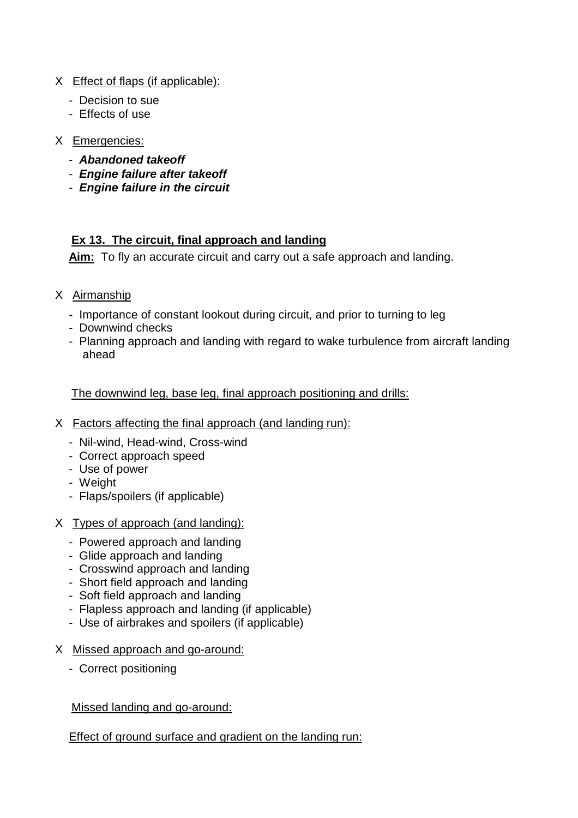- X Effect of flaps (if applicable):
	- Decision to sue
	- Effects of use
- X Emergencies:
	- *Abandoned takeoff*
	- *Engine failure after takeoff*
	- *Engine failure in the circuit*

# **Ex 13. The circuit, final approach and landing**

**Aim:** To fly an accurate circuit and carry out a safe approach and landing.

- X Airmanship
	- Importance of constant lookout during circuit, and prior to turning to leg
	- Downwind checks
	- Planning approach and landing with regard to wake turbulence from aircraft landing ahead

The downwind leg, base leg, final approach positioning and drills:

- X Factors affecting the final approach (and landing run):
	- Nil-wind, Head-wind, Cross-wind
	- Correct approach speed
	- Use of power
	- Weight
	- Flaps/spoilers (if applicable)
- X Types of approach (and landing):
	- Powered approach and landing
	- Glide approach and landing
	- Crosswind approach and landing
	- Short field approach and landing
	- Soft field approach and landing
	- Flapless approach and landing (if applicable)
	- Use of airbrakes and spoilers (if applicable)
- X Missed approach and go-around:
	- Correct positioning

Missed landing and go-around:

Effect of ground surface and gradient on the landing run: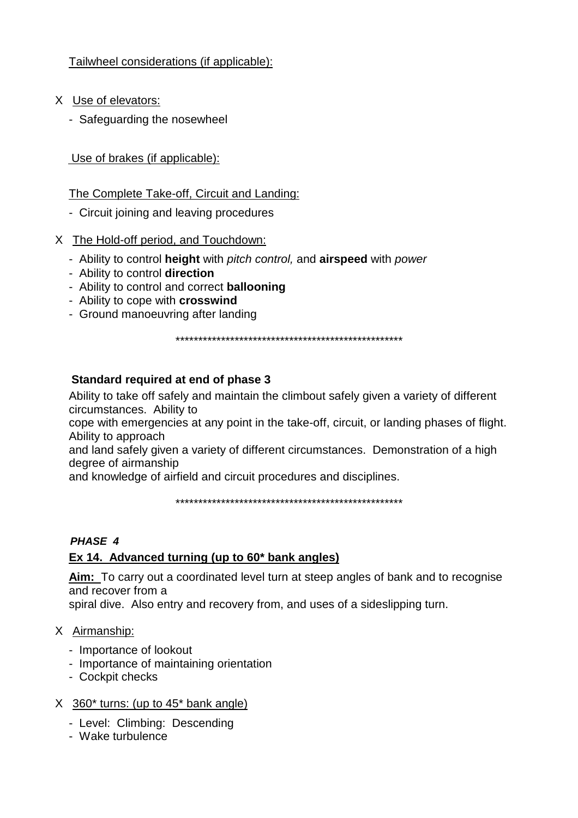Tailwheel considerations (if applicable):

- X Use of elevators:
	- Safeguarding the nosewheel

Use of brakes (if applicable):

The Complete Take-off, Circuit and Landing:

- Circuit joining and leaving procedures
- X The Hold-off period, and Touchdown:
	- Ability to control **height** with *pitch control,* and **airspeed** with *power*
	- Ability to control **direction**
	- Ability to control and correct **ballooning**
	- Ability to cope with **crosswind**
	- Ground manoeuvring after landing

\*\*\*\*\*\*\*\*\*\*\*\*\*\*\*\*\*\*\*\*\*\*\*\*\*\*\*\*\*\*\*\*\*\*\*\*\*\*\*\*\*\*\*\*\*\*\*\*\*\*

# **Standard required at end of phase 3**

Ability to take off safely and maintain the climbout safely given a variety of different circumstances. Ability to

cope with emergencies at any point in the take-off, circuit, or landing phases of flight. Ability to approach

and land safely given a variety of different circumstances. Demonstration of a high degree of airmanship

and knowledge of airfield and circuit procedures and disciplines.

\*\*\*\*\*\*\*\*\*\*\*\*\*\*\*\*\*\*\*\*\*\*\*\*\*\*\*\*\*\*\*\*\*\*\*\*\*\*\*\*\*\*\*\*\*\*\*\*\*\*

# *PHASE 4*

# **Ex 14. Advanced turning (up to 60\* bank angles)**

**Aim:** To carry out a coordinated level turn at steep angles of bank and to recognise and recover from a

spiral dive. Also entry and recovery from, and uses of a sideslipping turn.

### X Airmanship:

- Importance of lookout
- Importance of maintaining orientation
- Cockpit checks

# X 360\* turns: (up to 45\* bank angle)

- Level: Climbing: Descending
- Wake turbulence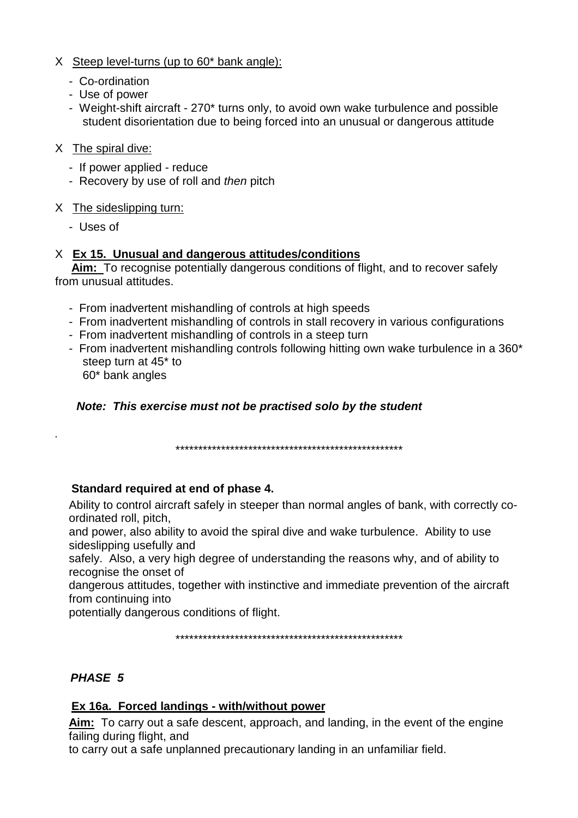- X Steep level-turns (up to 60\* bank angle):
	- Co-ordination
	- Use of power
	- Weight-shift aircraft 270\* turns only, to avoid own wake turbulence and possible student disorientation due to being forced into an unusual or dangerous attitude
- X The spiral dive:
	- If power applied reduce
	- Recovery by use of roll and *then* pitch

### X The sideslipping turn:

- Uses of

*.*

### X **Ex 15. Unusual and dangerous attitudes/conditions**

 **Aim:** To recognise potentially dangerous conditions of flight, and to recover safely from unusual attitudes.

- From inadvertent mishandling of controls at high speeds
- From inadvertent mishandling of controls in stall recovery in various configurations
- From inadvertent mishandling of controls in a steep turn
- From inadvertent mishandling controls following hitting own wake turbulence in a 360\* steep turn at 45\* to 60\* bank angles

### *Note: This exercise must not be practised solo by the student*

\*\*\*\*\*\*\*\*\*\*\*\*\*\*\*\*\*\*\*\*\*\*\*\*\*\*\*\*\*\*\*\*\*\*\*\*\*\*\*\*\*\*\*\*\*\*\*\*\*\*

### **Standard required at end of phase 4.**

Ability to control aircraft safely in steeper than normal angles of bank, with correctly coordinated roll, pitch,

and power, also ability to avoid the spiral dive and wake turbulence. Ability to use sideslipping usefully and

safely. Also, a very high degree of understanding the reasons why, and of ability to recognise the onset of

dangerous attitudes, together with instinctive and immediate prevention of the aircraft from continuing into

potentially dangerous conditions of flight.

\*\*\*\*\*\*\*\*\*\*\*\*\*\*\*\*\*\*\*\*\*\*\*\*\*\*\*\*\*\*\*\*\*\*\*\*\*\*\*\*\*\*\*\*\*\*\*\*\*\*

### *PHASE 5*

### **Ex 16a. Forced landings - with/without power**

**Aim:** To carry out a safe descent, approach, and landing, in the event of the engine failing during flight, and

to carry out a safe unplanned precautionary landing in an unfamiliar field.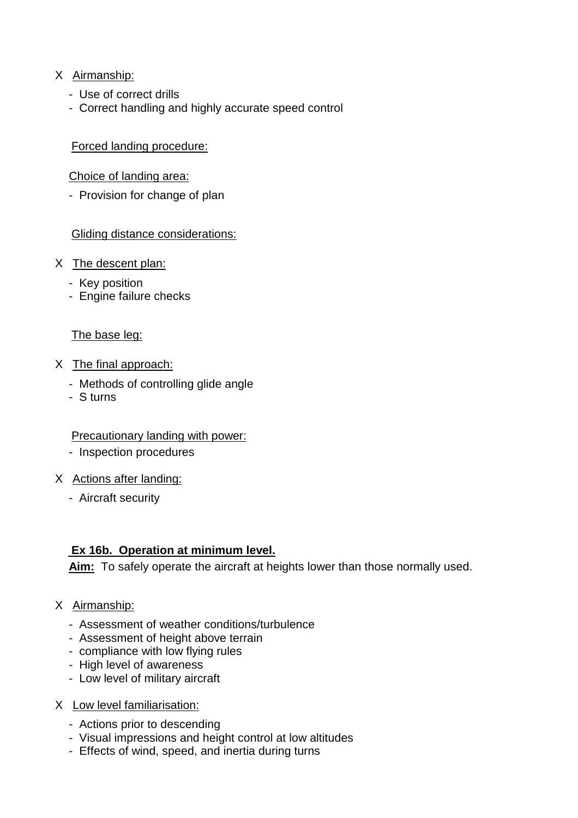### X Airmanship:

- Use of correct drills
- Correct handling and highly accurate speed control

#### Forced landing procedure:

#### Choice of landing area:

- Provision for change of plan

#### Gliding distance considerations:

- X The descent plan:
	- Key position
	- Engine failure checks

#### The base leg:

- X The final approach:
	- Methods of controlling glide angle
	- S turns

#### Precautionary landing with power:

- Inspection procedures
- X Actions after landing:
	- Aircraft security

### **Ex 16b. Operation at minimum level.**

**Aim:** To safely operate the aircraft at heights lower than those normally used.

#### X Airmanship:

- Assessment of weather conditions/turbulence
- Assessment of height above terrain
- compliance with low flying rules
- High level of awareness
- Low level of military aircraft
- X Low level familiarisation:
	- Actions prior to descending
	- Visual impressions and height control at low altitudes
	- Effects of wind, speed, and inertia during turns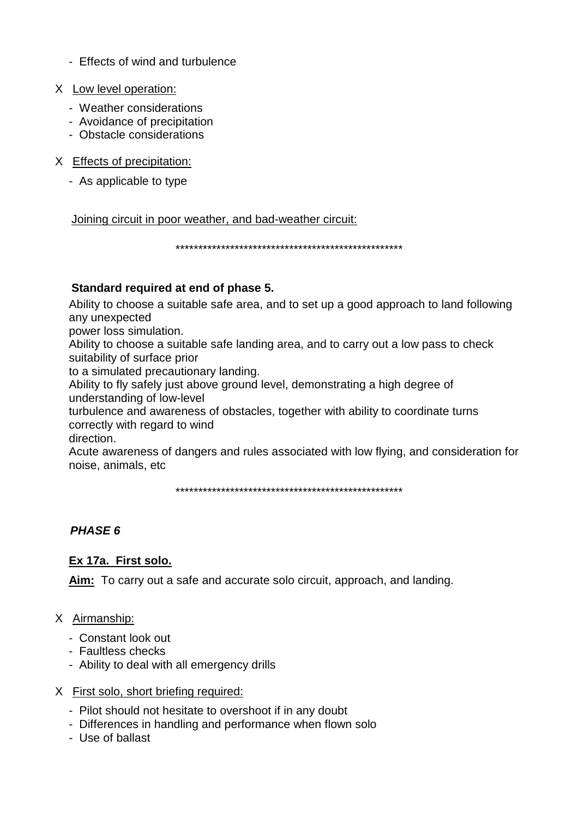- Effects of wind and turbulence
- X Low level operation:
	- Weather considerations
	- Avoidance of precipitation
	- Obstacle considerations
- X Effects of precipitation:
	- As applicable to type

Joining circuit in poor weather, and bad-weather circuit:

\*\*\*\*\*\*\*\*\*\*\*\*\*\*\*\*\*\*\*\*\*\*\*\*\*\*\*\*\*\*\*\*\*\*\*\*\*\*\*\*\*\*\*\*\*\*\*\*\*\*

#### **Standard required at end of phase 5.**

Ability to choose a suitable safe area, and to set up a good approach to land following any unexpected

power loss simulation.

Ability to choose a suitable safe landing area, and to carry out a low pass to check suitability of surface prior

to a simulated precautionary landing.

Ability to fly safely just above ground level, demonstrating a high degree of understanding of low-level

turbulence and awareness of obstacles, together with ability to coordinate turns correctly with regard to wind

direction.

Acute awareness of dangers and rules associated with low flying, and consideration for noise, animals, etc

\*\*\*\*\*\*\*\*\*\*\*\*\*\*\*\*\*\*\*\*\*\*\*\*\*\*\*\*\*\*\*\*\*\*\*\*\*\*\*\*\*\*\*\*\*\*\*\*\*\*

# *PHASE 6*

### **Ex 17a. First solo.**

**Aim:** To carry out a safe and accurate solo circuit, approach, and landing.

### X Airmanship:

- Constant look out
- Faultless checks
- Ability to deal with all emergency drills

#### X First solo, short briefing required:

- Pilot should not hesitate to overshoot if in any doubt
- Differences in handling and performance when flown solo
- Use of ballast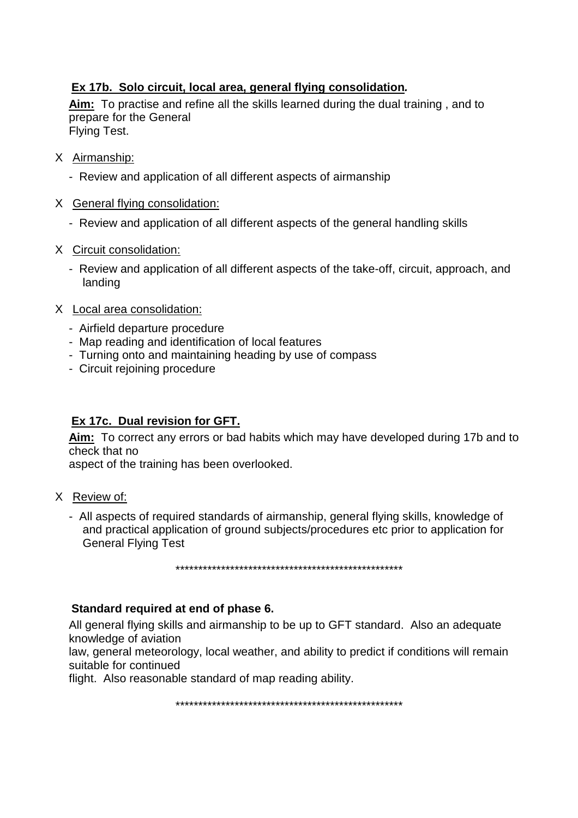# **Ex 17b. Solo circuit, local area, general flying consolidation***.*

**Aim:** To practise and refine all the skills learned during the dual training , and to prepare for the General Flying Test.

- X Airmanship:
	- Review and application of all different aspects of airmanship
- X General flying consolidation:
	- Review and application of all different aspects of the general handling skills
- X Circuit consolidation:
	- Review and application of all different aspects of the take-off, circuit, approach, and landing
- X Local area consolidation:
	- Airfield departure procedure
	- Map reading and identification of local features
	- Turning onto and maintaining heading by use of compass
	- Circuit rejoining procedure

# **Ex 17c. Dual revision for GFT.**

**Aim:** To correct any errors or bad habits which may have developed during 17b and to check that no

aspect of the training has been overlooked.

- X Review of:
	- All aspects of required standards of airmanship, general flying skills, knowledge of and practical application of ground subjects/procedures etc prior to application for General Flying Test

\*\*\*\*\*\*\*\*\*\*\*\*\*\*\*\*\*\*\*\*\*\*\*\*\*\*\*\*\*\*\*\*\*\*\*\*\*\*\*\*\*\*\*\*\*\*\*\*\*\*

#### **Standard required at end of phase 6.**

All general flying skills and airmanship to be up to GFT standard. Also an adequate knowledge of aviation

law, general meteorology, local weather, and ability to predict if conditions will remain suitable for continued

flight. Also reasonable standard of map reading ability.

\*\*\*\*\*\*\*\*\*\*\*\*\*\*\*\*\*\*\*\*\*\*\*\*\*\*\*\*\*\*\*\*\*\*\*\*\*\*\*\*\*\*\*\*\*\*\*\*\*\*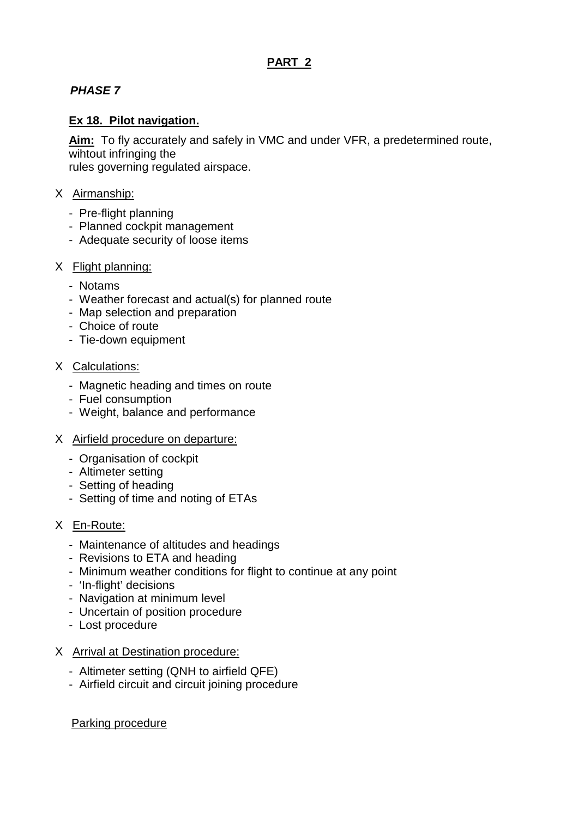# **PART 2**

# *PHASE 7*

## **Ex 18. Pilot navigation.**

**Aim:** To fly accurately and safely in VMC and under VFR, a predetermined route, wihtout infringing the

rules governing regulated airspace.

#### X Airmanship:

- Pre-flight planning
- Planned cockpit management
- Adequate security of loose items

#### X Flight planning:

- Notams
- Weather forecast and actual(s) for planned route
- Map selection and preparation
- Choice of route
- Tie-down equipment

#### X Calculations:

- Magnetic heading and times on route
- Fuel consumption
- Weight, balance and performance
- X Airfield procedure on departure:
	- Organisation of cockpit
	- Altimeter setting
	- Setting of heading
	- Setting of time and noting of ETAs
- X En-Route:
	- Maintenance of altitudes and headings
	- Revisions to ETA and heading
	- Minimum weather conditions for flight to continue at any point
	- 'In-flight' decisions
	- Navigation at minimum level
	- Uncertain of position procedure
	- Lost procedure

#### X Arrival at Destination procedure:

- Altimeter setting (QNH to airfield QFE)
- Airfield circuit and circuit joining procedure

#### Parking procedure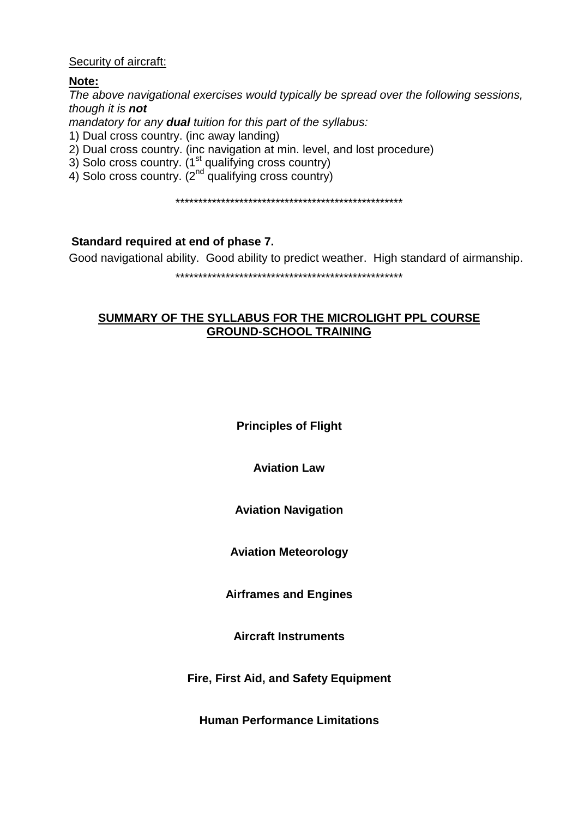#### Security of aircraft:

#### **Note:**

*The above navigational exercises would typically be spread over the following sessions, though it is not mandatory for any dual tuition for this part of the syllabus:* 1) Dual cross country. (inc away landing) 2) Dual cross country. (inc navigation at min. level, and lost procedure) 3) Solo cross country.  $(1^{st}$  qualifying cross country) 4) Solo cross country.  $(2^{nd}$  qualifying cross country)

\*\*\*\*\*\*\*\*\*\*\*\*\*\*\*\*\*\*\*\*\*\*\*\*\*\*\*\*\*\*\*\*\*\*\*\*\*\*\*\*\*\*\*\*\*\*\*\*\*\*

#### **Standard required at end of phase 7.**

Good navigational ability. Good ability to predict weather. High standard of airmanship.

\*\*\*\*\*\*\*\*\*\*\*\*\*\*\*\*\*\*\*\*\*\*\*\*\*\*\*\*\*\*\*\*\*\*\*\*\*\*\*\*\*\*\*\*\*\*\*\*\*\*

#### **SUMMARY OF THE SYLLABUS FOR THE MICROLIGHT PPL COURSE GROUND-SCHOOL TRAINING**

**Principles of Flight**

**Aviation Law**

**Aviation Navigation**

**Aviation Meteorology**

**Airframes and Engines**

**Aircraft Instruments**

**Fire, First Aid, and Safety Equipment**

**Human Performance Limitations**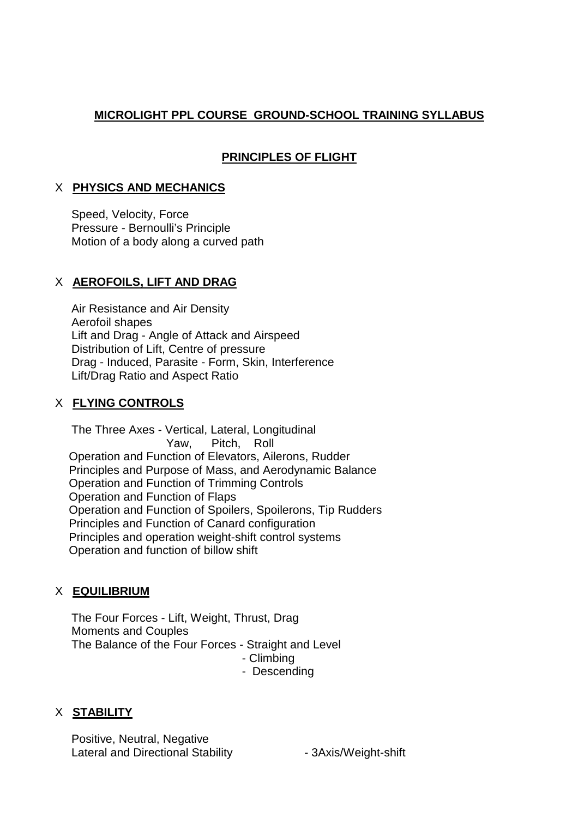# **MICROLIGHT PPL COURSE GROUND-SCHOOL TRAINING SYLLABUS**

# **PRINCIPLES OF FLIGHT**

#### X **PHYSICS AND MECHANICS**

 Speed, Velocity, Force Pressure - Bernoulli's Principle Motion of a body along a curved path

#### X **AEROFOILS, LIFT AND DRAG**

 Air Resistance and Air Density Aerofoil shapes Lift and Drag - Angle of Attack and Airspeed Distribution of Lift, Centre of pressure Drag - Induced, Parasite - Form, Skin, Interference Lift/Drag Ratio and Aspect Ratio

#### X **FLYING CONTROLS**

 The Three Axes - Vertical, Lateral, Longitudinal Yaw, Pitch, Roll Operation and Function of Elevators, Ailerons, Rudder Principles and Purpose of Mass, and Aerodynamic Balance Operation and Function of Trimming Controls Operation and Function of Flaps Operation and Function of Spoilers, Spoilerons, Tip Rudders Principles and Function of Canard configuration Principles and operation weight-shift control systems Operation and function of billow shift

### X **EQUILIBRIUM**

 The Four Forces - Lift, Weight, Thrust, Drag Moments and Couples The Balance of the Four Forces - Straight and Level - Climbing - Descending

### X **STABILITY**

 Positive, Neutral, Negative Lateral and Directional Stability **- 3Axis/Weight-shift**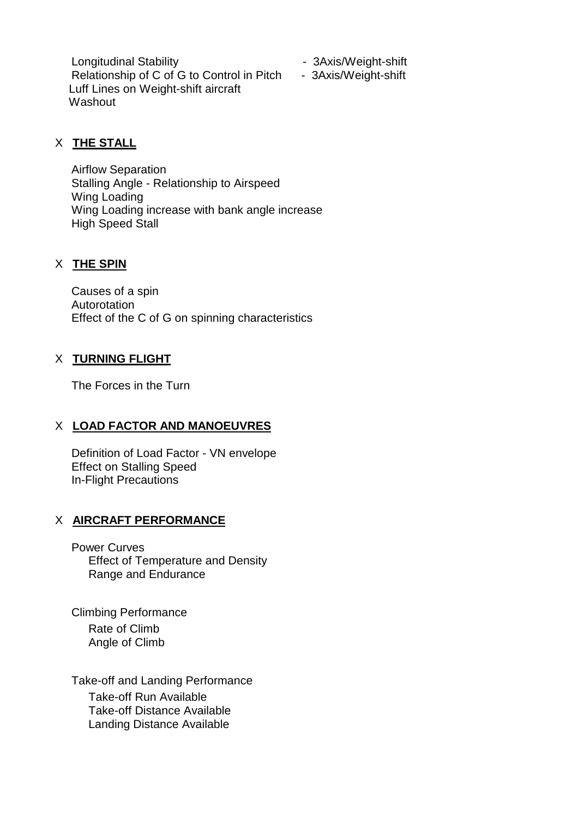Longitudinal Stability **Construction** - 3Axis/Weight-shift Relationship of C of G to Control in Pitch - 3Axis/Weight-shift Luff Lines on Weight-shift aircraft **Washout** 

- 
- 

# X **THE STALL**

 Airflow Separation Stalling Angle - Relationship to Airspeed Wing Loading Wing Loading increase with bank angle increase High Speed Stall

# X **THE SPIN**

 Causes of a spin Autorotation Effect of the C of G on spinning characteristics

### X **TURNING FLIGHT**

The Forces in the Turn

# X **LOAD FACTOR AND MANOEUVRES**

 Definition of Load Factor - VN envelope Effect on Stalling Speed In-Flight Precautions

### X **AIRCRAFT PERFORMANCE**

 Power Curves Effect of Temperature and Density Range and Endurance

Climbing Performance Rate of Climb Angle of Climb

 Take-off and Landing Performance Take-off Run Available Take-off Distance Available Landing Distance Available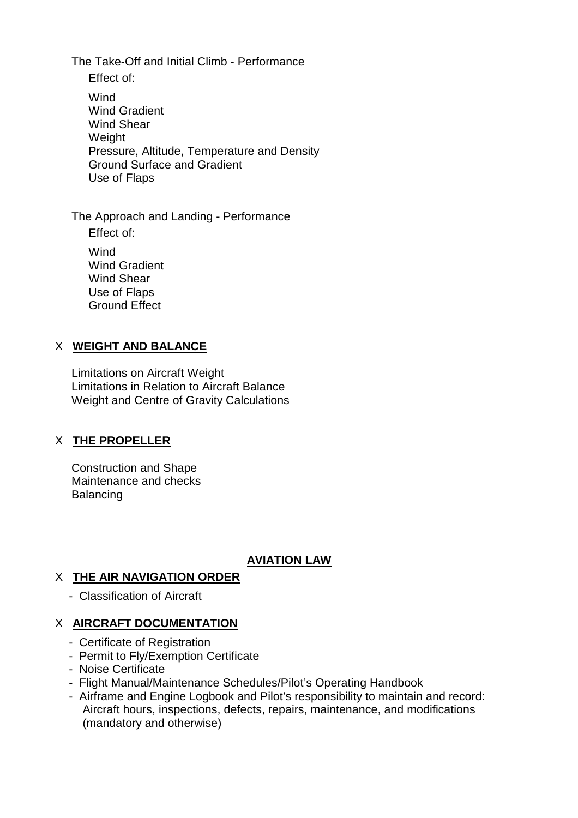The Take-Off and Initial Climb - Performance Effect of: **Wind**  Wind Gradient Wind Shear Weight Pressure, Altitude, Temperature and Density Ground Surface and Gradient Use of Flaps

The Approach and Landing - Performance

Effect of:

**Wind**  Wind Gradient Wind Shear Use of Flaps Ground Effect

#### X **WEIGHT AND BALANCE**

 Limitations on Aircraft Weight Limitations in Relation to Aircraft Balance Weight and Centre of Gravity Calculations

### X **THE PROPELLER**

 Construction and Shape Maintenance and checks **Balancing** 

#### **AVIATION LAW**

### X **THE AIR NAVIGATION ORDER**

- Classification of Aircraft

### X **AIRCRAFT DOCUMENTATION**

- Certificate of Registration
- Permit to Fly/Exemption Certificate
- Noise Certificate
- Flight Manual/Maintenance Schedules/Pilot's Operating Handbook
- Airframe and Engine Logbook and Pilot's responsibility to maintain and record: Aircraft hours, inspections, defects, repairs, maintenance, and modifications (mandatory and otherwise)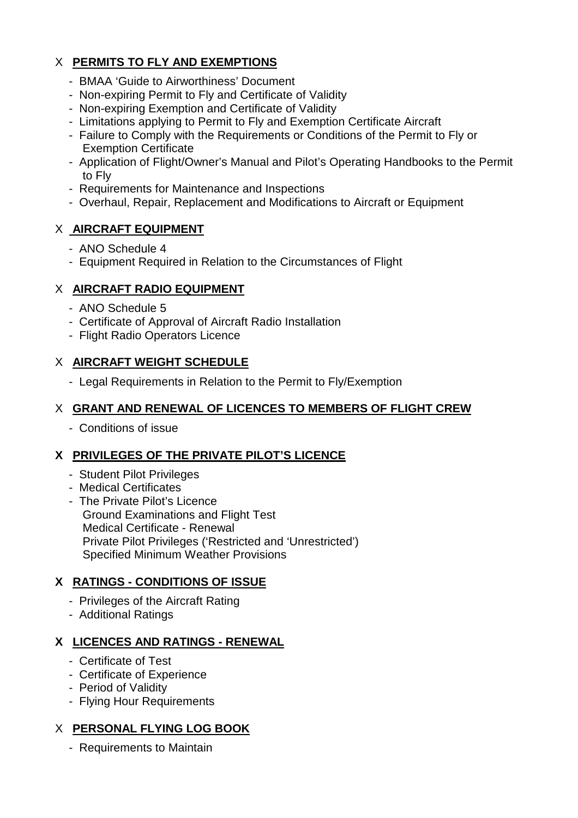# X **PERMITS TO FLY AND EXEMPTIONS**

- BMAA 'Guide to Airworthiness' Document
- Non-expiring Permit to Fly and Certificate of Validity
- Non-expiring Exemption and Certificate of Validity
- Limitations applying to Permit to Fly and Exemption Certificate Aircraft
- Failure to Comply with the Requirements or Conditions of the Permit to Fly or Exemption Certificate
- Application of Flight/Owner's Manual and Pilot's Operating Handbooks to the Permit to Fly
- Requirements for Maintenance and Inspections
- Overhaul, Repair, Replacement and Modifications to Aircraft or Equipment

# X **AIRCRAFT EQUIPMENT**

- ANO Schedule 4
- Equipment Required in Relation to the Circumstances of Flight

# X **AIRCRAFT RADIO EQUIPMENT**

- ANO Schedule 5
- Certificate of Approval of Aircraft Radio Installation
- Flight Radio Operators Licence

# X **AIRCRAFT WEIGHT SCHEDULE**

- Legal Requirements in Relation to the Permit to Fly/Exemption

# X **GRANT AND RENEWAL OF LICENCES TO MEMBERS OF FLIGHT CREW**

- Conditions of issue

# **X PRIVILEGES OF THE PRIVATE PILOT'S LICENCE**

- Student Pilot Privileges
- Medical Certificates
- The Private Pilot's Licence Ground Examinations and Flight Test Medical Certificate - Renewal Private Pilot Privileges ('Restricted and 'Unrestricted') Specified Minimum Weather Provisions

# **X RATINGS - CONDITIONS OF ISSUE**

- Privileges of the Aircraft Rating
- Additional Ratings

# **X LICENCES AND RATINGS - RENEWAL**

- Certificate of Test
- Certificate of Experience
- Period of Validity
- Flying Hour Requirements

# X **PERSONAL FLYING LOG BOOK**

- Requirements to Maintain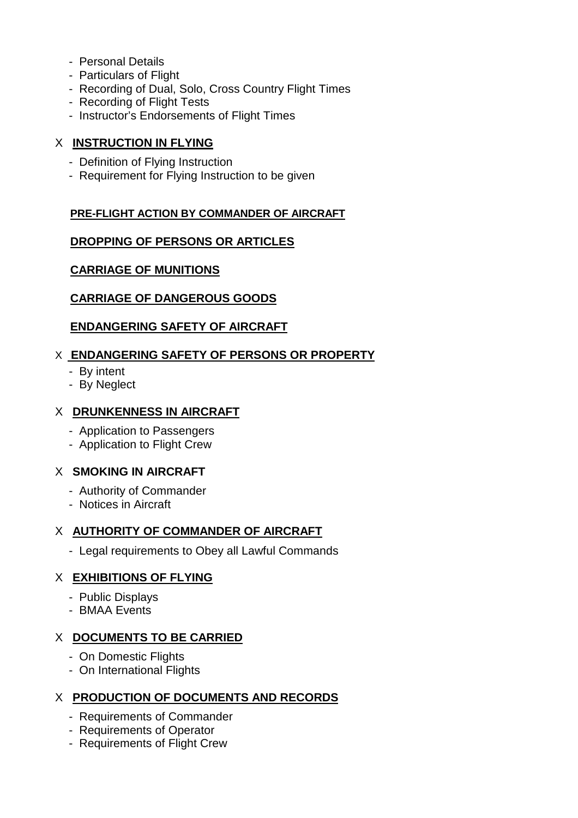- Personal Details
- Particulars of Flight
- Recording of Dual, Solo, Cross Country Flight Times
- Recording of Flight Tests
- Instructor's Endorsements of Flight Times

### X **INSTRUCTION IN FLYING**

- Definition of Flying Instruction
- Requirement for Flying Instruction to be given

# **PRE-FLIGHT ACTION BY COMMANDER OF AIRCRAFT**

# **DROPPING OF PERSONS OR ARTICLES**

# **CARRIAGE OF MUNITIONS**

# **CARRIAGE OF DANGEROUS GOODS**

# **ENDANGERING SAFETY OF AIRCRAFT**

# X**ENDANGERING SAFETY OF PERSONS OR PROPERTY**

- By intent
- By Neglect

# X **DRUNKENNESS IN AIRCRAFT**

- Application to Passengers
- Application to Flight Crew

# X **SMOKING IN AIRCRAFT**

- Authority of Commander
- Notices in Aircraft

# X **AUTHORITY OF COMMANDER OF AIRCRAFT**

- Legal requirements to Obey all Lawful Commands

# X **EXHIBITIONS OF FLYING**

- Public Displays
- BMAA Events

# X **DOCUMENTS TO BE CARRIED**

- On Domestic Flights
- On International Flights

# X **PRODUCTION OF DOCUMENTS AND RECORDS**

- Requirements of Commander
- Requirements of Operator
- Requirements of Flight Crew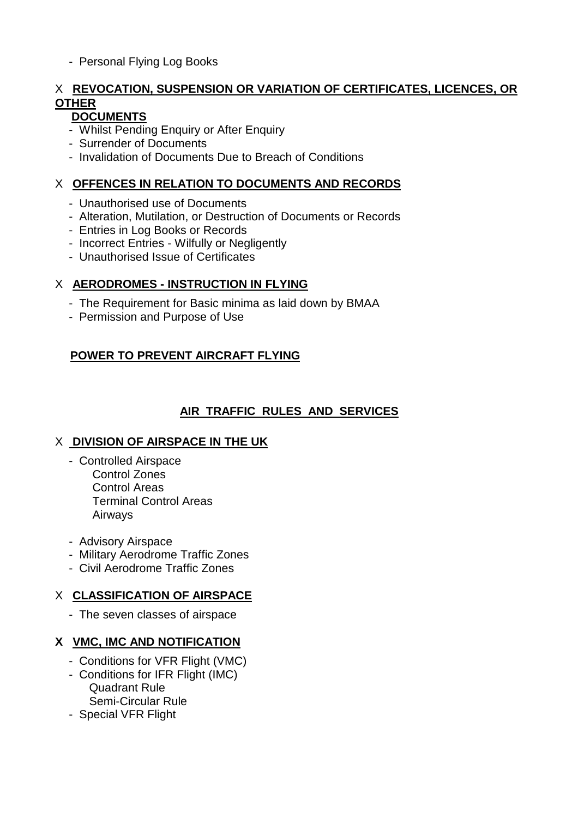- Personal Flying Log Books

# X **REVOCATION, SUSPENSION OR VARIATION OF CERTIFICATES, LICENCES, OR OTHER**

# **DOCUMENTS**

- Whilst Pending Enquiry or After Enquiry
- Surrender of Documents
- Invalidation of Documents Due to Breach of Conditions

# X **OFFENCES IN RELATION TO DOCUMENTS AND RECORDS**

- Unauthorised use of Documents
- Alteration, Mutilation, or Destruction of Documents or Records
- Entries in Log Books or Records
- Incorrect Entries Wilfully or Negligently
- Unauthorised Issue of Certificates

# X **AERODROMES - INSTRUCTION IN FLYING**

- The Requirement for Basic minima as laid down by BMAA
- Permission and Purpose of Use

# **POWER TO PREVENT AIRCRAFT FLYING**

# **AIR TRAFFIC RULES AND SERVICES**

### X **DIVISION OF AIRSPACE IN THE UK**

- Controlled Airspace Control Zones Control Areas Terminal Control Areas Airways
- Advisory Airspace
- Military Aerodrome Traffic Zones
- Civil Aerodrome Traffic Zones

# X **CLASSIFICATION OF AIRSPACE**

- The seven classes of airspace

### **X VMC, IMC AND NOTIFICATION**

- Conditions for VFR Flight (VMC)
- Conditions for IFR Flight (IMC) Quadrant Rule Semi-Circular Rule
- Special VFR Flight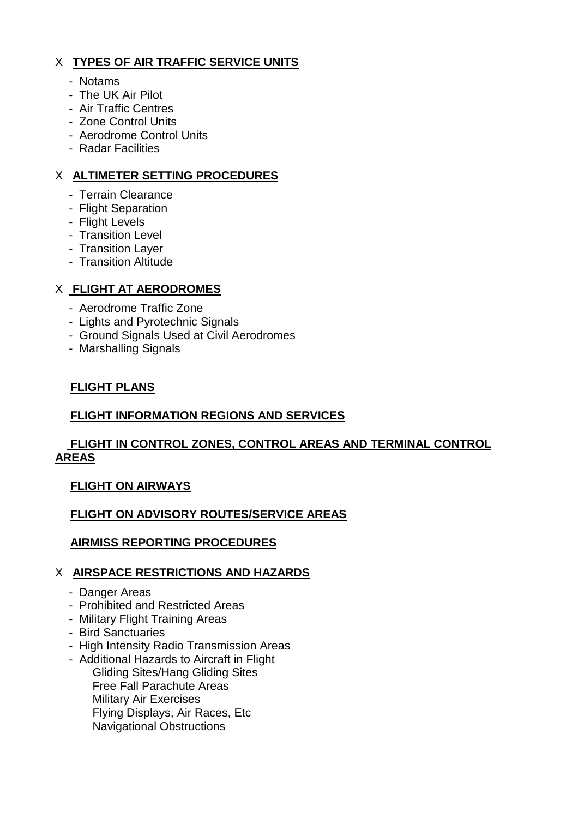# X **TYPES OF AIR TRAFFIC SERVICE UNITS**

- Notams
- The UK Air Pilot
- Air Traffic Centres
- Zone Control Units
- Aerodrome Control Units
- Radar Facilities

# X **ALTIMETER SETTING PROCEDURES**

- Terrain Clearance
- Flight Separation
- Flight Levels
- Transition Level
- Transition Layer
- Transition Altitude

# X **FLIGHT AT AERODROMES**

- Aerodrome Traffic Zone
- Lights and Pyrotechnic Signals
- Ground Signals Used at Civil Aerodromes
- Marshalling Signals

# **FLIGHT PLANS**

# **FLIGHT INFORMATION REGIONS AND SERVICES**

# **FLIGHT IN CONTROL ZONES, CONTROL AREAS AND TERMINAL CONTROL AREAS**

# **FLIGHT ON AIRWAYS**

# **FLIGHT ON ADVISORY ROUTES/SERVICE AREAS**

# **AIRMISS REPORTING PROCEDURES**

# X **AIRSPACE RESTRICTIONS AND HAZARDS**

- Danger Areas
- Prohibited and Restricted Areas
- Military Flight Training Areas
- Bird Sanctuaries
- High Intensity Radio Transmission Areas
- Additional Hazards to Aircraft in Flight Gliding Sites/Hang Gliding Sites Free Fall Parachute Areas Military Air Exercises Flying Displays, Air Races, Etc Navigational Obstructions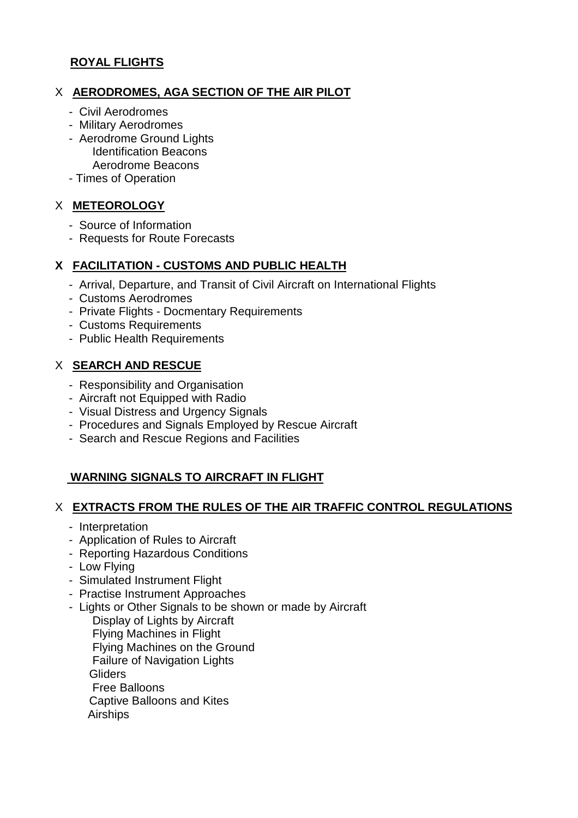### **ROYAL FLIGHTS**

### X **AERODROMES, AGA SECTION OF THE AIR PILOT**

- Civil Aerodromes
- Military Aerodromes
- Aerodrome Ground Lights Identification Beacons Aerodrome Beacons
- Times of Operation

### X **METEOROLOGY**

- Source of Information
- Requests for Route Forecasts

#### **X FACILITATION - CUSTOMS AND PUBLIC HEALTH**

- Arrival, Departure, and Transit of Civil Aircraft on International Flights
- Customs Aerodromes
- Private Flights Docmentary Requirements
- Customs Requirements
- Public Health Requirements

#### X **SEARCH AND RESCUE**

- Responsibility and Organisation
- Aircraft not Equipped with Radio
- Visual Distress and Urgency Signals
- Procedures and Signals Employed by Rescue Aircraft
- Search and Rescue Regions and Facilities

# **WARNING SIGNALS TO AIRCRAFT IN FLIGHT**

#### X **EXTRACTS FROM THE RULES OF THE AIR TRAFFIC CONTROL REGULATIONS**

- Interpretation
- Application of Rules to Aircraft
- Reporting Hazardous Conditions
- Low Flying
- Simulated Instrument Flight
- Practise Instrument Approaches
- Lights or Other Signals to be shown or made by Aircraft Display of Lights by Aircraft Flying Machines in Flight Flying Machines on the Ground Failure of Navigation Lights **Gliders**  Free Balloons Captive Balloons and Kites Airships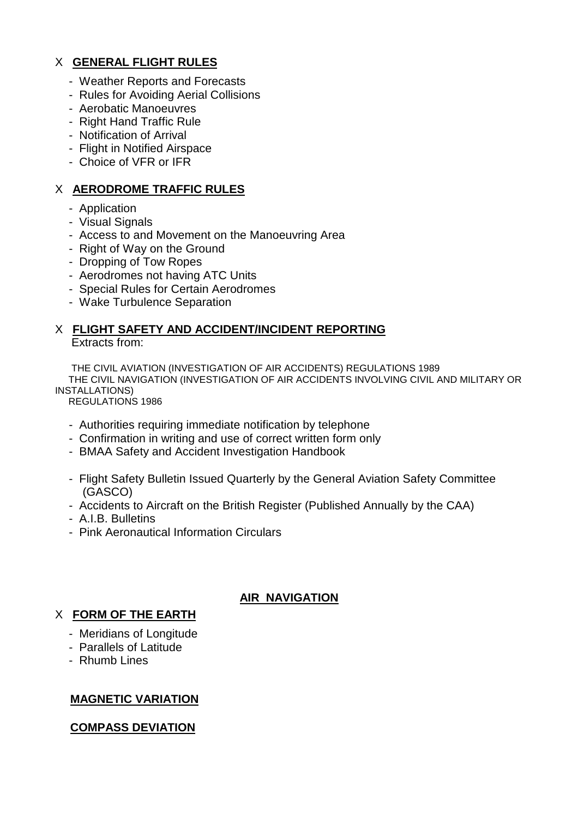## X **GENERAL FLIGHT RULES**

- Weather Reports and Forecasts
- Rules for Avoiding Aerial Collisions
- Aerobatic Manoeuvres
- Right Hand Traffic Rule
- Notification of Arrival
- Flight in Notified Airspace
- Choice of VFR or IFR

#### X **AERODROME TRAFFIC RULES**

- Application
- Visual Signals
- Access to and Movement on the Manoeuvring Area
- Right of Way on the Ground
- Dropping of Tow Ropes
- Aerodromes not having ATC Units
- Special Rules for Certain Aerodromes
- Wake Turbulence Separation

#### X **FLIGHT SAFETY AND ACCIDENT/INCIDENT REPORTING** Extracts from:

 THE CIVIL AVIATION (INVESTIGATION OF AIR ACCIDENTS) REGULATIONS 1989 THE CIVIL NAVIGATION (INVESTIGATION OF AIR ACCIDENTS INVOLVING CIVIL AND MILITARY OR INSTALLATIONS)

REGULATIONS 1986

- Authorities requiring immediate notification by telephone
- Confirmation in writing and use of correct written form only
- BMAA Safety and Accident Investigation Handbook
- Flight Safety Bulletin Issued Quarterly by the General Aviation Safety Committee (GASCO)

**AIR NAVIGATION**

- Accidents to Aircraft on the British Register (Published Annually by the CAA)
- A.I.B. Bulletins
- Pink Aeronautical Information Circulars

# X **FORM OF THE EARTH**

- Meridians of Longitude
- Parallels of Latitude
- Rhumb Lines

### **MAGNETIC VARIATION**

#### **COMPASS DEVIATION**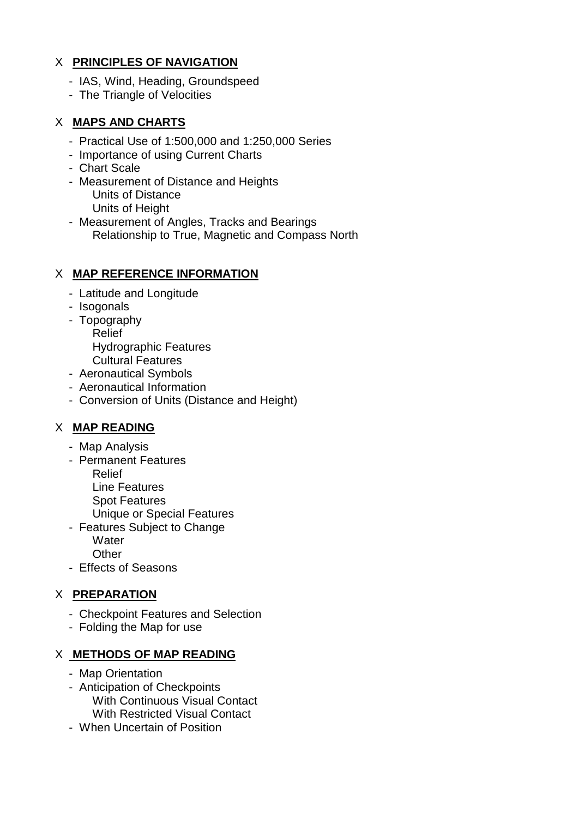# X **PRINCIPLES OF NAVIGATION**

- IAS, Wind, Heading, Groundspeed
- The Triangle of Velocities

# X **MAPS AND CHARTS**

- Practical Use of 1:500,000 and 1:250,000 Series
- Importance of using Current Charts
- Chart Scale
- Measurement of Distance and Heights Units of Distance Units of Height
- Measurement of Angles, Tracks and Bearings Relationship to True, Magnetic and Compass North

# X **MAP REFERENCE INFORMATION**

- Latitude and Longitude
- Isogonals
- Topography Relief Hydrographic Features
	- Cultural Features
- Aeronautical Symbols
- Aeronautical Information
- Conversion of Units (Distance and Height)

# X **MAP READING**

- Map Analysis
- Permanent Features
	- Relief
	- Line Features
	- Spot Features
	- Unique or Special Features
- Features Subject to Change **Water** 
	- **Other**
- Effects of Seasons

### X **PREPARATION**

- Checkpoint Features and Selection
- Folding the Map for use

### X **METHODS OF MAP READING**

- Map Orientation
- Anticipation of Checkpoints With Continuous Visual Contact With Restricted Visual Contact
- When Uncertain of Position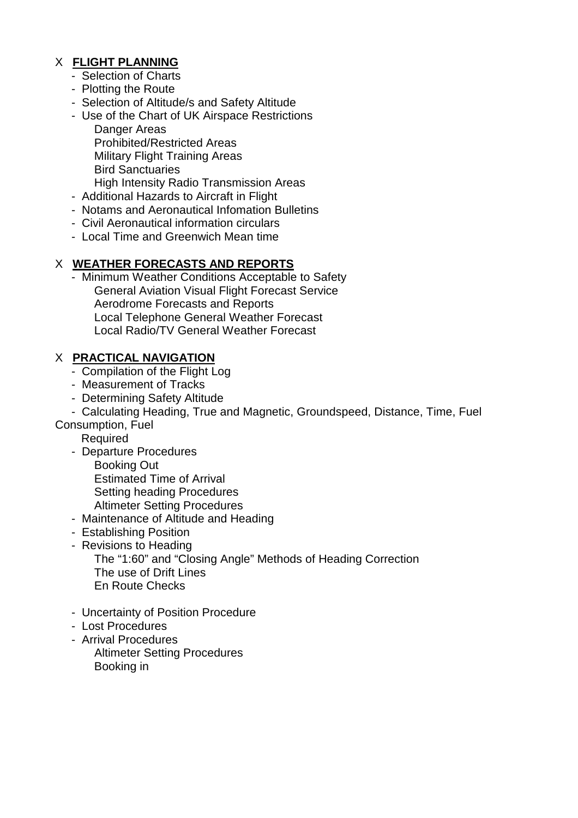# X **FLIGHT PLANNING**

- Selection of Charts
- Plotting the Route
- Selection of Altitude/s and Safety Altitude
- Use of the Chart of UK Airspace Restrictions Danger Areas Prohibited/Restricted Areas Military Flight Training Areas Bird Sanctuaries High Intensity Radio Transmission Areas
- Additional Hazards to Aircraft in Flight
- Notams and Aeronautical Infomation Bulletins
- Civil Aeronautical information circulars
- Local Time and Greenwich Mean time

### X **WEATHER FORECASTS AND REPORTS**

 - Minimum Weather Conditions Acceptable to Safety General Aviation Visual Flight Forecast Service Aerodrome Forecasts and Reports Local Telephone General Weather Forecast Local Radio/TV General Weather Forecast

#### X **PRACTICAL NAVIGATION**

- Compilation of the Flight Log
- Measurement of Tracks
- Determining Safety Altitude
- Calculating Heading, True and Magnetic, Groundspeed, Distance, Time, Fuel
- Consumption, Fuel
	- **Required**
	- Departure Procedures Booking Out Estimated Time of Arrival
		- Setting heading Procedures
		- Altimeter Setting Procedures
	- Maintenance of Altitude and Heading
	- Establishing Position
	- Revisions to Heading The "1:60" and "Closing Angle" Methods of Heading Correction The use of Drift Lines En Route Checks
	- Uncertainty of Position Procedure
	- Lost Procedures
	- Arrival Procedures
	- Altimeter Setting Procedures Booking in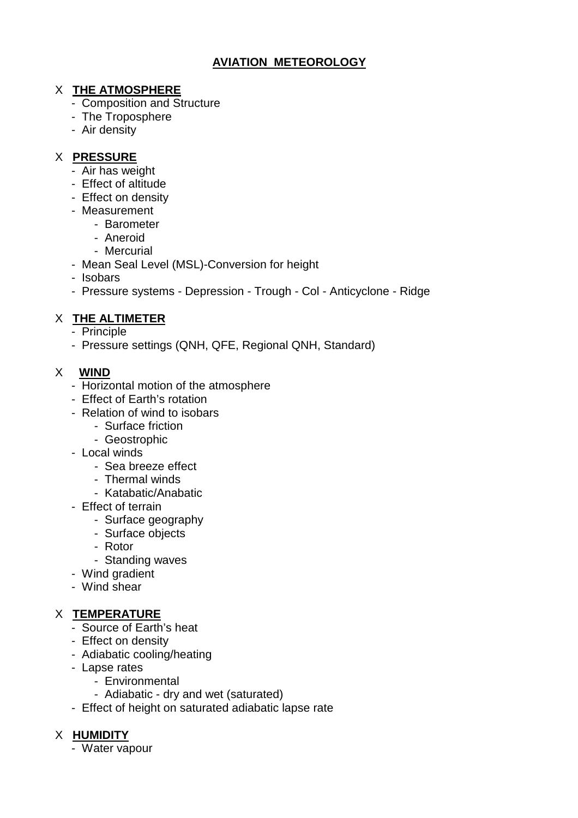# **AVIATION METEOROLOGY**

# X **THE ATMOSPHERE**

- Composition and Structure
- The Troposphere
- Air density

# X **PRESSURE**

- Air has weight
- Effect of altitude
- Effect on density
- Measurement
	- Barometer
	- Aneroid
	- Mercurial
- Mean Seal Level (MSL)-Conversion for height
- Isobars
- Pressure systems Depression Trough Col Anticyclone Ridge

# X **THE ALTIMETER**

- Principle
- Pressure settings (QNH, QFE, Regional QNH, Standard)

# X **WIND**

- Horizontal motion of the atmosphere
- Effect of Earth's rotation
- Relation of wind to isobars
	- Surface friction
	- Geostrophic
- Local winds
	- Sea breeze effect
	- Thermal winds
	- Katabatic/Anabatic
- Effect of terrain
	- Surface geography
	- Surface objects
	- Rotor
	- Standing waves
- Wind gradient
- Wind shear

# X **TEMPERATURE**

- Source of Earth's heat
- Effect on density
- Adiabatic cooling/heating
- Lapse rates
	- Environmental
	- Adiabatic dry and wet (saturated)
- Effect of height on saturated adiabatic lapse rate

# X **HUMIDITY**

- Water vapour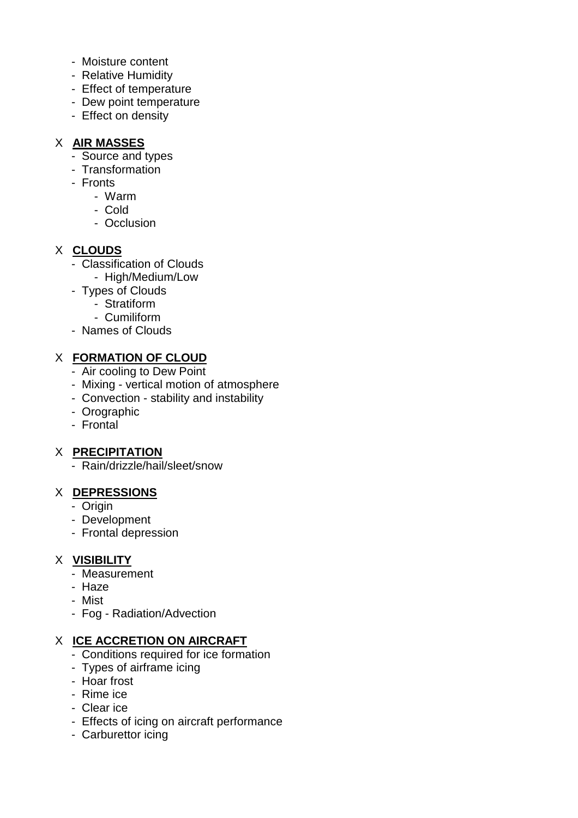- Moisture content
- Relative Humidity
- Effect of temperature
- Dew point temperature
- Effect on density

## X **AIR MASSES**

- Source and types
- Transformation
- Fronts
	- Warm
	- Cold
	- Occlusion

# X **CLOUDS**

- Classification of Clouds
	- High/Medium/Low
- Types of Clouds
	- Stratiform
	- Cumiliform
- Names of Clouds

# X **FORMATION OF CLOUD**

- Air cooling to Dew Point
- Mixing vertical motion of atmosphere
- Convection stability and instability
- Orographic
- Frontal

# X **PRECIPITATION**

- Rain/drizzle/hail/sleet/snow

### X **DEPRESSIONS**

- Origin
- Development
- Frontal depression

### X **VISIBILITY**

- Measurement
- Haze
- Mist
- Fog Radiation/Advection

### X **ICE ACCRETION ON AIRCRAFT**

- Conditions required for ice formation
- Types of airframe icing
- Hoar frost
- Rime ice
- Clear ice
- Effects of icing on aircraft performance
- Carburettor icing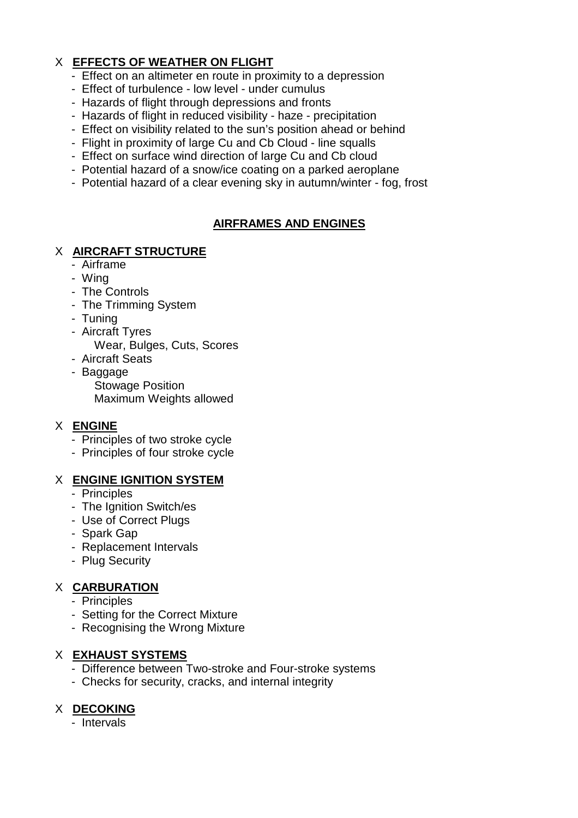# X **EFFECTS OF WEATHER ON FLIGHT**

- Effect on an altimeter en route in proximity to a depression
- Effect of turbulence low level under cumulus
- Hazards of flight through depressions and fronts
- Hazards of flight in reduced visibility haze precipitation
- Effect on visibility related to the sun's position ahead or behind
- Flight in proximity of large Cu and Cb Cloud line squalls
- Effect on surface wind direction of large Cu and Cb cloud
- Potential hazard of a snow/ice coating on a parked aeroplane
- Potential hazard of a clear evening sky in autumn/winter fog, frost

# **AIRFRAMES AND ENGINES**

# X **AIRCRAFT STRUCTURE**

- Airframe
- Wing
- The Controls
- The Trimming System
- Tuning
- Aircraft Tyres
	- Wear, Bulges, Cuts, Scores
- Aircraft Seats
- Baggage Stowage Position Maximum Weights allowed

# X **ENGINE**

- Principles of two stroke cycle
- Principles of four stroke cycle

### X **ENGINE IGNITION SYSTEM**

- Principles
- The Ignition Switch/es
- Use of Correct Plugs
- Spark Gap
- Replacement Intervals
- Plug Security

# X **CARBURATION**

- Principles
- Setting for the Correct Mixture
- Recognising the Wrong Mixture

### X **EXHAUST SYSTEMS**

- Difference between Two-stroke and Four-stroke systems
- Checks for security, cracks, and internal integrity

# X **DECOKING**

- Intervals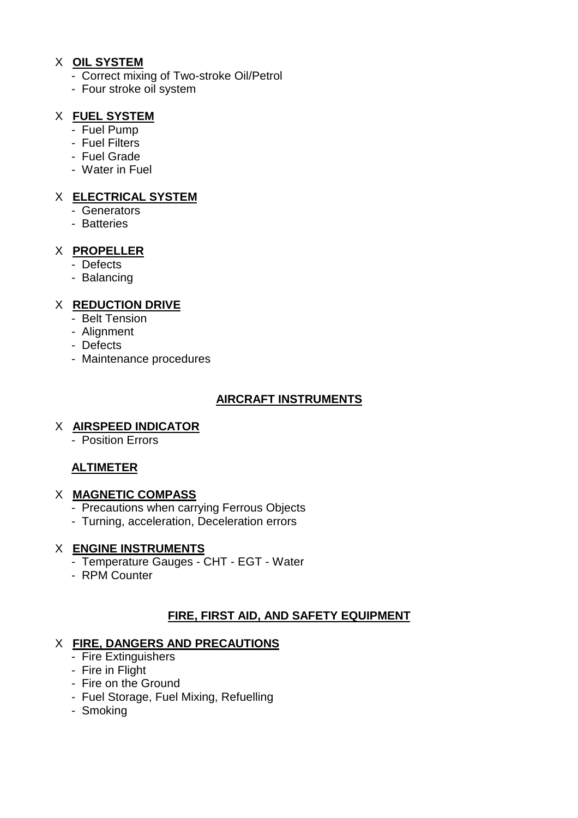#### X **OIL SYSTEM**

- Correct mixing of Two-stroke Oil/Petrol
- Four stroke oil system

# X **FUEL SYSTEM**

- Fuel Pump
- Fuel Filters
- Fuel Grade
- Water in Fuel

# X **ELECTRICAL SYSTEM**

- Generators
- Batteries

# X **PROPELLER**

- Defects
- Balancing

# X **REDUCTION DRIVE**

- Belt Tension
- Alignment
- Defects
- Maintenance procedures

# **AIRCRAFT INSTRUMENTS**

### X **AIRSPEED INDICATOR**

- Position Errors

# **ALTIMETER**

### X **MAGNETIC COMPASS**

- Precautions when carrying Ferrous Objects
- Turning, acceleration, Deceleration errors

### X **ENGINE INSTRUMENTS**

- Temperature Gauges CHT EGT Water
- RPM Counter

# **FIRE, FIRST AID, AND SAFETY EQUIPMENT**

### X **FIRE, DANGERS AND PRECAUTIONS**

- Fire Extinguishers
- Fire in Flight
- Fire on the Ground
- Fuel Storage, Fuel Mixing, Refuelling
- Smoking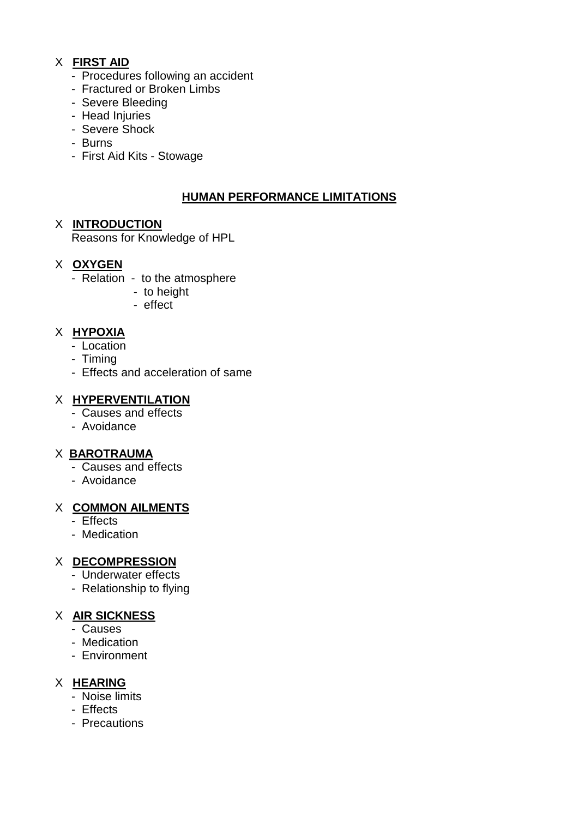# X **FIRST AID**

- Procedures following an accident
- Fractured or Broken Limbs
- Severe Bleeding
- Head Injuries
- Severe Shock
- Burns
- First Aid Kits Stowage

# **HUMAN PERFORMANCE LIMITATIONS**

#### X **INTRODUCTION**

Reasons for Knowledge of HPL

# X **OXYGEN**

- Relation to the atmosphere
	- to height
	- effect

# X **HYPOXIA**

- Location
- Timing
- Effects and acceleration of same

# X **HYPERVENTILATION**

- Causes and effects
- Avoidance

### X **BAROTRAUMA**

- Causes and effects
- Avoidance

### X **COMMON AILMENTS**

- Effects
- Medication

# X **DECOMPRESSION**

- Underwater effects
- Relationship to flying

### X **AIR SICKNESS**

- Causes
- Medication
- Environment

### X **HEARING**

- Noise limits
- Effects
- Precautions